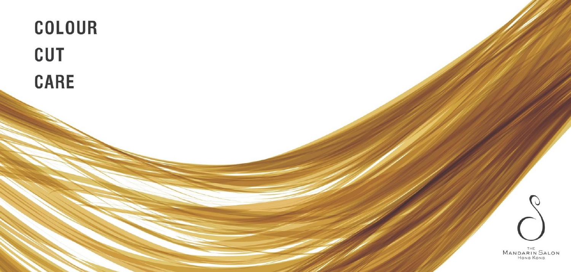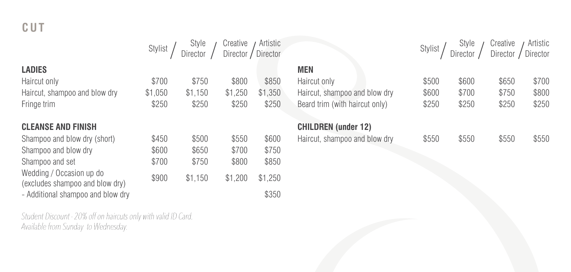|                               | Stylist | Style<br>Director | Creative<br>Director / | Artistic<br>Director |                                | Stylist | Style<br>Director | Creative<br>Director | Artistic<br>Director |
|-------------------------------|---------|-------------------|------------------------|----------------------|--------------------------------|---------|-------------------|----------------------|----------------------|
| LADIES                        |         |                   |                        |                      | <b>MEN</b>                     |         |                   |                      |                      |
| Haircut only                  | \$700   | \$750             | \$800                  | \$850                | Haircut only                   | \$500   | \$600             | \$650                | \$700                |
| Haircut, shampoo and blow dry | \$1,050 | \$1.150           | \$1.250                | .350<br>\$1          | Haircut, shampoo and blow dry  | \$600   | \$700             | \$750                | \$800                |
| Fringe trim                   | \$250   | \$250             | \$250                  | \$250                | Beard trim (with haircut only) | \$250   | \$250             | \$250                | \$250                |
| <b>CLEANSE AND FINISH</b>     |         |                   |                        |                      | <b>CHILDREN</b> (under 12)     |         |                   |                      |                      |
| Shampoo and blow dry (short)  | \$450   | \$500             | \$550                  | \$600                | Haircut, shampoo and blow dry  | \$550   | \$550             | \$550                | \$550                |

Student Discount - 20% off on haircuts only with valid ID Card. Available from Sunday to Wednesday.

Wedding / Occasion up do

Shampoo and blow dry  $$600$  \$650 \$700 \$750 Shampoo and set  $$700$  \$750 \$800 \$850

wedding / Occasion dp do  $$1,150$  \$1,200 \$1,250 (excludes shampoo and blow dry) - Additional shampoo and blow dry **\$350**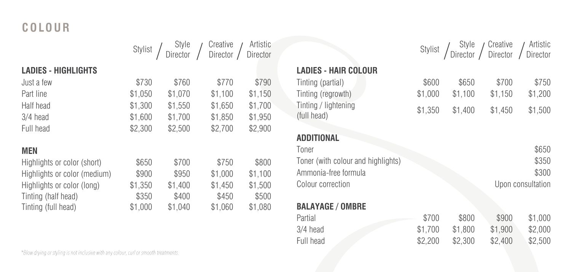# **C O LO U R**

|                              |         |         | Stylist / Style / Creative / Artistic<br>Director / Director / Director |         |
|------------------------------|---------|---------|-------------------------------------------------------------------------|---------|
|                              |         |         |                                                                         |         |
| <b>LADIES - HIGHLIGHTS</b>   |         |         |                                                                         |         |
| Just a few                   | \$730   | \$760   | \$770                                                                   | \$790   |
| Part line                    | \$1,050 | \$1,070 | \$1,100                                                                 | \$1,150 |
| Half head                    | \$1,300 | \$1.550 | \$1,650                                                                 | \$1,700 |
| 3/4 head                     | \$1,600 | \$1.700 | \$1,850                                                                 | \$1,950 |
| Full head                    | \$2,300 | \$2.500 | \$2,700                                                                 | \$2,900 |
| <b>MEN</b>                   |         |         |                                                                         |         |
| Highlights or color (short)  | \$650   | \$700   | \$750                                                                   | \$800   |
| Highlights or color (medium) | \$900   | \$950   | \$1,000                                                                 | \$1,100 |
| Highlights or color (long)   | \$1,350 | \$1,400 | \$1.450                                                                 | \$1,500 |
| Tinting (half head)          | \$350   | \$400   | \$450                                                                   | \$500   |
| Tinting (full head)          | \$1,000 | \$1.040 | \$1,060                                                                 | \$1.080 |

## **LADIES - HAIR COLOUR**

| Tinting (partial)                   | \$600   | \$650   | \$700   | \$750   |
|-------------------------------------|---------|---------|---------|---------|
| Tinting (regrowth)                  | \$1.000 | \$1.100 | \$1.150 | \$1,200 |
| Tinting / lightening<br>(full head) | \$1,350 | \$1.400 | \$1.450 | \$1,500 |

| <b>ADDITIONAL</b> |  |
|-------------------|--|

| \$650             |
|-------------------|
| \$350             |
| \$300             |
| Upon consultation |
|                   |

Stylist / Style

Creative Director

Artistic Director

#### **BALAYAGE / OMBRE**

| Partial    | \$700   | \$800   | \$900   | \$1,000 |
|------------|---------|---------|---------|---------|
| $3/4$ head | \$1.700 | \$1.800 | \$1.900 | \$2,000 |
| Full head  | \$2,200 | \$2.300 | \$2.400 | \$2,500 |

\*Blow drying or styling is not inclusive with any colour, curl or smooth treatments.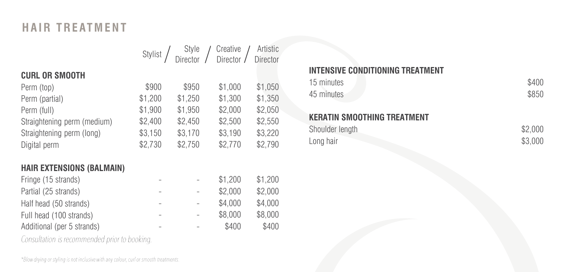# **HAIR TREATMENT**

|                             |         | Stylist / Style / Creative / Artistic<br>Director / Director / Director |         | Artistic |
|-----------------------------|---------|-------------------------------------------------------------------------|---------|----------|
| <b>CURL OR SMOOTH</b>       |         |                                                                         |         |          |
| Perm (top)                  | \$900   | \$950                                                                   | \$1,000 | \$1,050  |
| Perm (partial)              | \$1,200 | \$1.250                                                                 | \$1,300 | \$1,350  |
| Perm (full)                 | \$1,900 | \$1.950                                                                 | \$2,000 | \$2,050  |
| Straightening perm (medium) | \$2,400 | \$2,450                                                                 | \$2,500 | \$2,550  |
| Straightening perm (long)   | \$3,150 | \$3,170                                                                 | \$3,190 | \$3,220  |
| Digital perm                | \$2,730 | \$2,750                                                                 | \$2,770 | \$2,790  |

## **HAIR EXTENSIONS (BALMAIN)**

| Fringe (15 strands)        |   |                          | \$1,200 | \$1,200 |
|----------------------------|---|--------------------------|---------|---------|
| Partial (25 strands)       |   |                          | \$2,000 | \$2,000 |
| Half head (50 strands)     | - | $\overline{\phantom{0}}$ | \$4,000 | \$4,000 |
| Full head (100 strands)    | - | $\sim$                   | \$8,000 | \$8,000 |
| Additional (per 5 strands) |   |                          | \$400   | \$400   |
|                            |   |                          |         |         |

Consultation is recommended prior to booking.

### **INTENSIVE CONDITIONING TREATMENT**

| 15 minutes | \$400 |
|------------|-------|
| 45 minutes | \$850 |

## **KERATIN SMOOTHING TREATMENT**

| Shoulder length | \$2,000 |
|-----------------|---------|
| Long hair       | \$3,000 |

\*Blow drying or styling is not inclusive with any colour, curl or smooth treatments.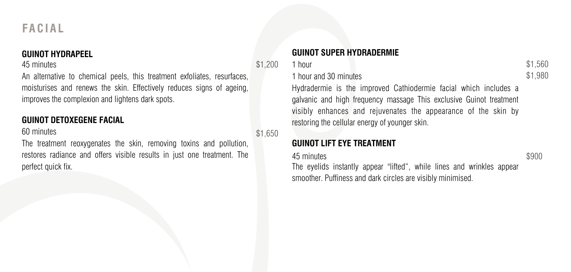#### **GUINOT HYDRAPEEL**

#### 45 minutes

An alternative to chemical peels, this treatment exfoliates, resurfaces, moisturises and renews the skin. Effectively reduces signs of ageing, improves the complexion and lightens dark spots.

## **GUINOT DETOXEGENE FACIAL**

#### 60 minutes

The treatment reoxygenates the skin, removing toxins and pollution, restores radiance and offers visible results in just one treatment. The perfect quick fix.

\$1,200

\$1,650

#### 1 hour and 30 minutes

Hydradermie is the improved Cathiodermie facial which includes a galvanic and high frequency massage This exclusive Guinot treatment visibly enhances and rejuvenates the appearance of the skin by restoring the cellular energy of younger skin.

### **GUINOT LIFT EYE TREATMENT**

**GUINOT SUPER HYDRADERMIE**

45 minutes

1 hour

The eyelids instantly appear "lifted", while lines and wrinkles appear smoother. Puffiness and dark circles are visibly minimised.

\$900

\$1,560 \$1,980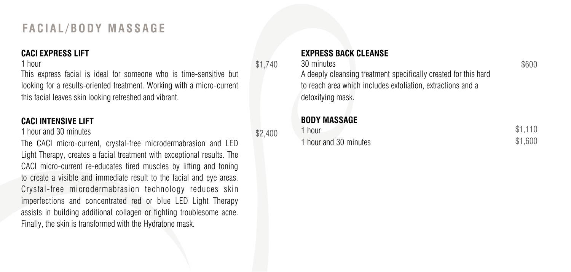## **FA C I A L / B O D Y M A S S A G E**

### **CACI EXPRESS LIFT**

#### 1 hour

This express facial is ideal for someone who is time-sensitive but looking for a results-oriented treatment. Working with a micro-current this facial leaves skin looking refreshed and vibrant.

### **CACI INTENSIVE LIFT**

#### 1 hour and 30 minutes

The CACI micro-current, crystal-free microdermabrasion and LED Light Therapy, creates a facial treatment with exceptional results. The CACI micro-current re-educates tired muscles by lifting and toning to create a visible and immediate result to the facial and eye areas. Crystal-free microdermabrasion technology reduces skin imperfections and concentrated red or blue LED Light Therapy assists in building additional collagen or fighting troublesome acne. Finally, the skin is transformed with the Hydratone mask.

\$1,740

 $$2,400$ 

## **EXPRESS BACK CLEANSE**

#### 30 minutes

A deeply cleansing treatment specifically created for this hard to reach area which includes exfoliation, extractions and a detoxifying mask.

## **BODY MASSAGE**

| 1 hour                | \$1.110 |
|-----------------------|---------|
| 1 hour and 30 minutes | \$1,600 |

## \$600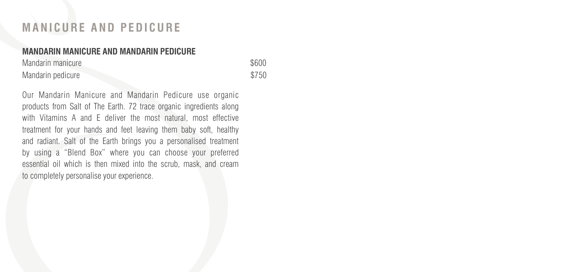## **M A N I C U R E A N D P E D I C U R E**

#### **MANDARIN MANICURE AND MANDARIN PEDICURE**

Mandarin manicure  $$600$ Mandarin pedicure \$750

Our Mandarin Manicure and Mandarin Pedicure use organic products from Salt of The Earth. 72 trace organic ingredients along with Vitamins A and E deliver the most natural, most effective treatment for your hands and feet leaving them baby soft, healthy and radiant. Salt of the Earth brings you a personalised treatment by using a "Blend Box" where you can choose your preferred essential oil which is then mixed into the scrub, mask, and cream to completely personalise your experience.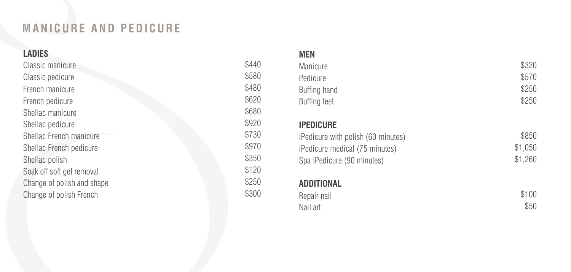## **M A N I C U R E A N D P E D I C U R E**

## **LADIES**

| \$580 |
|-------|
| \$480 |
| \$620 |
| \$680 |
| \$920 |
| \$730 |
| \$970 |
| \$350 |
| \$120 |
| \$250 |
| \$300 |
|       |

#### **MEN**

| Manicure     | \$320 |
|--------------|-------|
| Pedicure     | \$570 |
| Buffing hand | \$250 |
| Buffing feet | \$250 |

### **IPEDICURE**

| iPedicure with polish (60 minutes) | \$850   |
|------------------------------------|---------|
| iPedicure medical (75 minutes)     | \$1.050 |
| Spa iPedicure (90 minutes)         | \$1.260 |

## **ADDITIONAL**

| Repair nail | \$100 |
|-------------|-------|
| Nail art    | \$50  |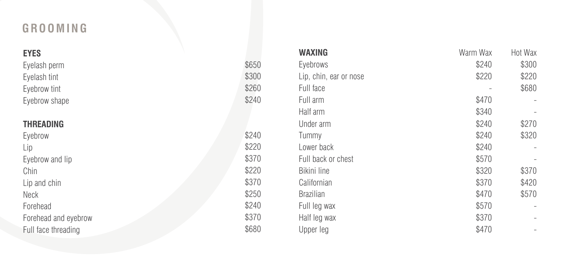# **G R O O M I N G**

| <b>EYES</b>          |       | WAXING                 | Warm Wax | Hot Wax                  |
|----------------------|-------|------------------------|----------|--------------------------|
| Eyelash perm         | \$650 | Eyebrows               | \$240    | \$300                    |
| Eyelash tint         | \$300 | Lip, chin, ear or nose | \$220    | \$220                    |
| Eyebrow tint         | \$260 | Full face              |          | \$680                    |
| Eyebrow shape        | \$240 | Full arm               | \$470    | $\overline{a}$           |
|                      |       | Half arm               | \$340    | $\overline{\phantom{a}}$ |
| <b>THREADING</b>     |       | Under arm              | \$240    | \$270                    |
| Eyebrow              | \$240 | Tummy                  | \$240    | \$320                    |
| Lip                  | \$220 | Lower back             | \$240    |                          |
| Eyebrow and lip      | \$370 | Full back or chest     | \$570    | $\overline{\phantom{a}}$ |
| Chin                 | \$220 | Bikini line            | \$320    | \$370                    |
| Lip and chin         | \$370 | Californian            | \$370    | \$420                    |
| Neck                 | \$250 | <b>Brazilian</b>       | \$470    | \$570                    |
| Forehead             | \$240 | Full leg wax           | \$570    | $\overline{\phantom{a}}$ |
| Forehead and eyebrow | \$370 | Half leg wax           | \$370    | $\overline{\phantom{a}}$ |
| Full face threading  | \$680 | Upper leg              | \$470    | $\overline{\phantom{a}}$ |
|                      |       |                        |          |                          |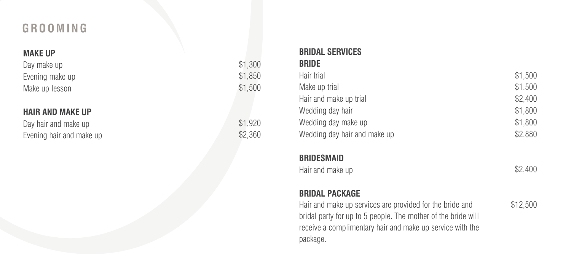## **G R O O M I N G**

### **MAKE UP**

Day make up Evening make up Make up lesson

### **HAIR AND MAKE UP**

Day hair and make up \$1,920 Evening hair and make up  $$2,360$ 

| \$1,300 |  |
|---------|--|
| \$1.850 |  |
| \$1,500 |  |
|         |  |
|         |  |

#### **BRIDAL SERVICES BRIDE**

| Hair trial                   | \$1,500 |
|------------------------------|---------|
| Make up trial                | \$1,500 |
| Hair and make up trial       | \$2,400 |
| Wedding day hair             | \$1,800 |
| Wedding day make up          | \$1,800 |
| Wedding day hair and make up | \$2,880 |

#### **BRIDESMAID**

| Hair and make up | \$2,400 |
|------------------|---------|
|------------------|---------|

## **BRIDAL PACKAGE**

Hair and make up services are provided for the bride and bridal party for up to 5 people. The mother of the bride will receive a complimentary hair and make up service with the package.

\$12,500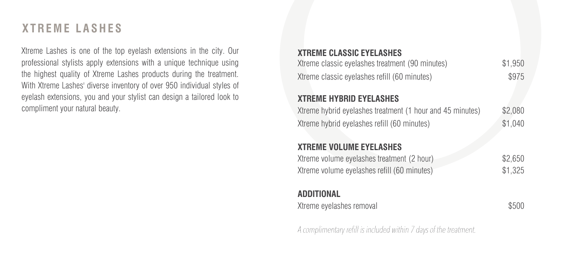## **X T R E M E L A S H E S**

Xtreme Lashes is one of the top eyelash extensions in the city. Our professional stylists apply extensions with a unique technique using the highest quality of Xtreme Lashes products during the treatment. With Xtreme Lashes' diverse inventory of over 950 individual styles of eyelash extensions, you and your stylist can design a tailored look to compliment your natural beauty.

# **XTREME CLASSIC EYELASHES** Xtreme classic eyelashes treatment (90 minutes) \$1,950 Xtreme classic evelashes refill (60 minutes)  $$975$ **XTREME HYBRID EYELASHES** Xtreme hybrid eyelashes treatment (1 hour and 45 minutes) \$2,080 Xtreme hybrid eyelashes refill (60 minutes) \$1,040 **XTREME VOLUME EYELASHES** Xtreme volume eyelashes treatment (2 hour) \$2,650 Xtreme volume eyelashes refill (60 minutes) \$1,325 **ADDITIONAL** Xtreme eyelashes removal  $$500$

A complimentary refill is included within 7 days of the treatment.